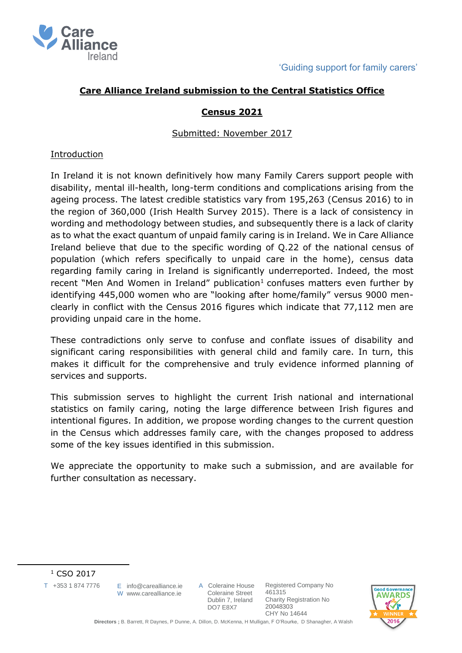

# **Care Alliance Ireland submission to the Central Statistics Office**

## **Census 2021**

## Submitted: November 2017

#### Introduction

In Ireland it is not known definitively how many Family Carers support people with disability, mental ill-health, long-term conditions and complications arising from the ageing process. The latest credible statistics vary from 195,263 (Census 2016) to in the region of 360,000 (Irish Health Survey 2015). There is a lack of consistency in wording and methodology between studies, and subsequently there is a lack of clarity as to what the exact quantum of unpaid family caring is in Ireland. We in Care Alliance Ireland believe that due to the specific wording of Q.22 of the national census of population (which refers specifically to unpaid care in the home), census data regarding family caring in Ireland is significantly underreported. Indeed, the most recent "Men And Women in Ireland" publication $1$  confuses matters even further by identifying 445,000 women who are "looking after home/family" versus 9000 menclearly in conflict with the Census 2016 figures which indicate that 77,112 men are providing unpaid care in the home.

These contradictions only serve to confuse and conflate issues of disability and significant caring responsibilities with general child and family care. In turn, this makes it difficult for the comprehensive and truly evidence informed planning of services and supports.

This submission serves to highlight the current Irish national and international statistics on family caring, noting the large difference between Irish figures and intentional figures. In addition, we propose wording changes to the current question in the Census which addresses family care, with the changes proposed to address some of the key issues identified in this submission.

We appreciate the opportunity to make such a submission, and are available for further consultation as necessary.

 $\overline{a}$ 

T +353 1 874 7776

 $E$  info@carealliance.ie W www.carealliance.ie

A Coleraine House Coleraine Street Dublin 7, Ireland DO7 E8X7



<sup>&</sup>lt;sup>1</sup> CSO 2017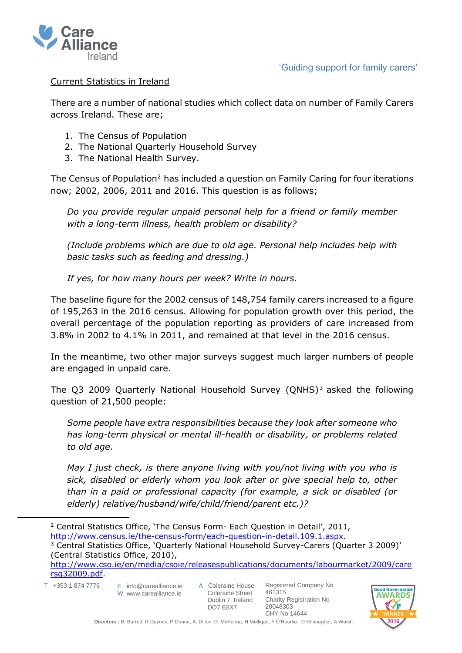

## Current Statistics in Ireland

There are a number of national studies which collect data on number of Family Carers across Ireland. These are;

- 1. The Census of Population
- 2. The National Quarterly Household Survey
- 3. The National Health Survey.

The Census of Population<sup>2</sup> has included a question on Family Caring for four iterations now; 2002, 2006, 2011 and 2016. This question is as follows;

*Do you provide regular unpaid personal help for a friend or family member with a long-term illness, health problem or disability?*

*(Include problems which are due to old age. Personal help includes help with basic tasks such as feeding and dressing.)*

*If yes, for how many hours per week? Write in hours.*

The baseline figure for the 2002 census of 148,754 family carers increased to a figure of 195,263 in the 2016 census. Allowing for population growth over this period, the overall percentage of the population reporting as providers of care increased from 3.8% in 2002 to 4.1% in 2011, and remained at that level in the 2016 census.

In the meantime, two other major surveys suggest much larger numbers of people are engaged in unpaid care.

The Q3 2009 Quarterly National Household Survey (QNHS)<sup>3</sup> asked the following question of 21,500 people:

*Some people have extra responsibilities because they look after someone who has long-term physical or mental ill-health or disability, or problems related to old age.*

*May I just check, is there anyone living with you/not living with you who is sick, disabled or elderly whom you look after or give special help to, other than in a paid or professional capacity (for example, a sick or disabled (or elderly) relative/husband/wife/child/friend/parent etc.)?*

[rsq32009.pdf.](http://www.cso.ie/en/media/csoie/releasespublications/documents/labourmarket/2009/carersq32009.pdf)

T +353 1 874 7776

 $\overline{a}$ 

A Coleraine House Coleraine Street Dublin 7, Ireland DO7 E8X7

E info@carealliance.ie W www.carealliance.ie



<sup>2</sup> Central Statistics Office, 'The Census Form- Each Question in Detail', 2011, [http://www.census.ie/the-census-form/each-question-in-detail.109.1.aspx.](http://www.census.ie/the-census-form/each-question-in-detail.109.1.aspx) <sup>3</sup> Central Statistics Office, 'Quarterly National Household Survey-Carers (Quarter 3 2009)' (Central Statistics Office, 2010), [http://www.cso.ie/en/media/csoie/releasespublications/documents/labourmarket/2009/care](http://www.cso.ie/en/media/csoie/releasespublications/documents/labourmarket/2009/carersq32009.pdf)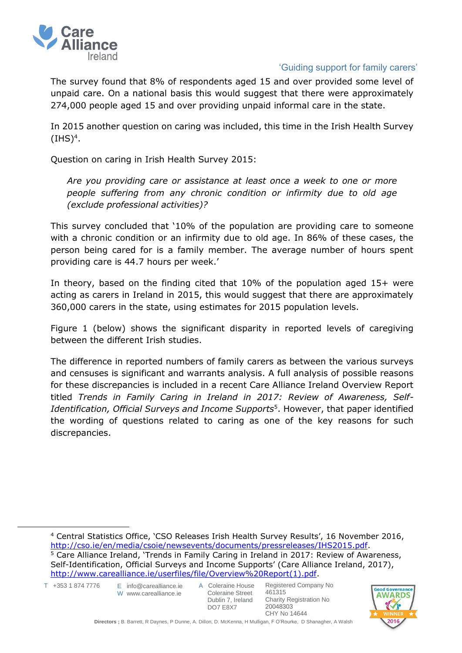

The survey found that 8% of respondents aged 15 and over provided some level of unpaid care. On a national basis this would suggest that there were approximately 274,000 people aged 15 and over providing unpaid informal care in the state.

In 2015 another question on caring was included, this time in the Irish Health Survey  $(HSS)^4$ .

Question on caring in Irish Health Survey 2015:

*Are you providing care or assistance at least once a week to one or more people suffering from any chronic condition or infirmity due to old age (exclude professional activities)?*

This survey concluded that '10% of the population are providing care to someone with a chronic condition or an infirmity due to old age. In 86% of these cases, the person being cared for is a family member. The average number of hours spent providing care is 44.7 hours per week.'

In theory, based on the finding cited that 10% of the population aged 15+ were acting as carers in Ireland in 2015, this would suggest that there are approximately 360,000 carers in the state, using estimates for 2015 population levels.

Figure 1 (below) shows the significant disparity in reported levels of caregiving between the different Irish studies.

The difference in reported numbers of family carers as between the various surveys and censuses is significant and warrants analysis. A full analysis of possible reasons for these discrepancies is included in a recent Care Alliance Ireland Overview Report titled *Trends in Family Caring in Ireland in 2017: Review of Awareness, Self-Identification, Official Surveys and Income Supports*<sup>5</sup> . However, that paper identified the wording of questions related to caring as one of the key reasons for such discrepancies.

<sup>4</sup> Central Statistics Office, 'CSO Releases Irish Health Survey Results', 16 November 2016, [http://cso.ie/en/media/csoie/newsevents/documents/pressreleases/IHS2015.pdf.](http://cso.ie/en/media/csoie/newsevents/documents/pressreleases/IHS2015.pdf) <sup>5</sup> Care Alliance Ireland, 'Trends in Family Caring in Ireland in 2017: Review of Awareness, Self-Identification, Official Surveys and Income Supports' (Care Alliance Ireland, 2017), [http://www.carealliance.ie/userfiles/file/Overview%20Report\(1\).pdf.](http://www.carealliance.ie/userfiles/file/Overview%20Report(1).pdf)

T +353 1 874 7776

 $\ddot{\phantom{a}}$ 

E info@carealliance.ie W www.carealliance.ie

A Coleraine House Coleraine Street Dublin 7, Ireland DO7 E8X7

Registered Company No

Charity Registration No

461315

20048303 CHY No 14644

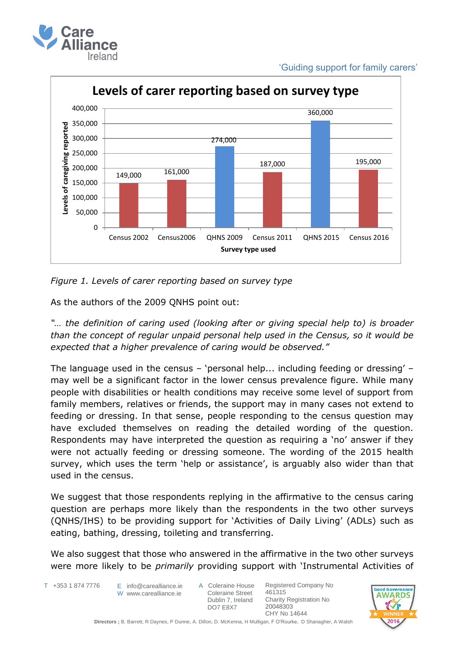

'Guiding support for family carers'



*Figure 1. Levels of carer reporting based on survey type*

As the authors of the 2009 QNHS point out:

*"… the definition of caring used (looking after or giving special help to) is broader than the concept of regular unpaid personal help used in the Census, so it would be expected that a higher prevalence of caring would be observed."*

The language used in the census – 'personal help... including feeding or dressing' – may well be a significant factor in the lower census prevalence figure. While many people with disabilities or health conditions may receive some level of support from family members, relatives or friends, the support may in many cases not extend to feeding or dressing. In that sense, people responding to the census question may have excluded themselves on reading the detailed wording of the question. Respondents may have interpreted the question as requiring a 'no' answer if they were not actually feeding or dressing someone. The wording of the 2015 health survey, which uses the term 'help or assistance', is arguably also wider than that used in the census.

We suggest that those respondents replying in the affirmative to the census caring question are perhaps more likely than the respondents in the two other surveys (QNHS/IHS) to be providing support for 'Activities of Daily Living' (ADLs) such as eating, bathing, dressing, toileting and transferring.

We also suggest that those who answered in the affirmative in the two other surveys were more likely to be *primarily* providing support with 'Instrumental Activities of

T +353 1 874 7776

E info@carealliance.ie W www.carealliance.ie

A Coleraine House Coleraine Street Dublin 7, Ireland DO7 E8X7

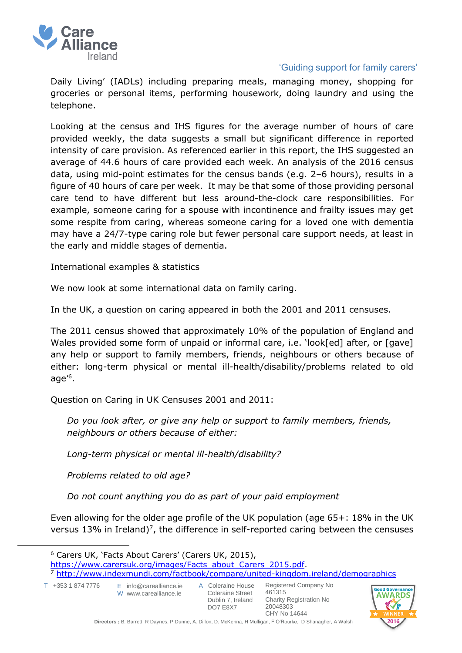

Daily Living' (IADLs) including preparing meals, managing money, shopping for groceries or personal items, performing housework, doing laundry and using the telephone.

Looking at the census and IHS figures for the average number of hours of care provided weekly, the data suggests a small but significant difference in reported intensity of care provision. As referenced earlier in this report, the IHS suggested an average of 44.6 hours of care provided each week. An analysis of the 2016 census data, using mid-point estimates for the census bands (e.g. 2–6 hours), results in a figure of 40 hours of care per week. It may be that some of those providing personal care tend to have different but less around-the-clock care responsibilities. For example, someone caring for a spouse with incontinence and frailty issues may get some respite from caring, whereas someone caring for a loved one with dementia may have a 24/7-type caring role but fewer personal care support needs, at least in the early and middle stages of dementia.

International examples & statistics

We now look at some international data on family caring.

In the UK, a question on caring appeared in both the 2001 and 2011 censuses.

The 2011 census showed that approximately 10% of the population of England and Wales provided some form of unpaid or informal care, i.e. 'look[ed] after, or [gave] any help or support to family members, friends, neighbours or others because of either: long-term physical or mental ill-health/disability/problems related to old age'<sup>6</sup> .

Question on Caring in UK Censuses 2001 and 2011:

*Do you look after, or give any help or support to family members, friends, neighbours or others because of either:*

*Long-term physical or mental ill-health/disability?*

*Problems related to old age?*

*Do not count anything you do as part of your paid employment*

Even allowing for the older age profile of the UK population (age 65+: 18% in the UK versus 13% in Ireland)<sup>7</sup>, the difference in self-reported caring between the censuses

T +353 1 874 7776

 $\overline{a}$ 

 $E$  info@carealliance.ie W www.carealliance.ie



<sup>6</sup> Carers UK, 'Facts About Carers' (Carers UK, 2015), [https://www.carersuk.org/images/Facts\\_about\\_Carers\\_2015.pdf.](https://www.carersuk.org/images/Facts_about_Carers_2015.pdf) <sup>7</sup> <http://www.indexmundi.com/factbook/compare/united-kingdom.ireland/demographics>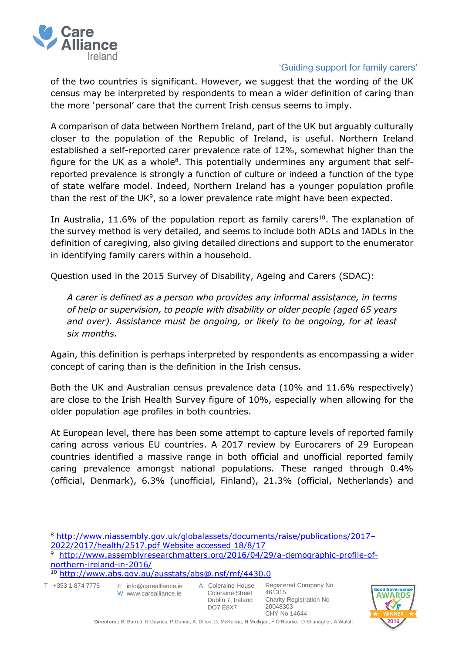

of the two countries is significant. However, we suggest that the wording of the UK census may be interpreted by respondents to mean a wider definition of caring than the more 'personal' care that the current Irish census seems to imply.

A comparison of data between Northern Ireland, part of the UK but arguably culturally closer to the population of the Republic of Ireland, is useful. Northern Ireland established a self-reported carer prevalence rate of 12%, somewhat higher than the figure for the UK as a whole $8$ . This potentially undermines any argument that selfreported prevalence is strongly a function of culture or indeed a function of the type of state welfare model. Indeed, Northern Ireland has a younger population profile than the rest of the UK<sup>9</sup>, so a lower prevalence rate might have been expected.

In Australia,  $11.6\%$  of the population report as family carers<sup>10</sup>. The explanation of the survey method is very detailed, and seems to include both ADLs and IADLs in the definition of caregiving, also giving detailed directions and support to the enumerator in identifying family carers within a household.

Question used in the 2015 Survey of Disability, Ageing and Carers (SDAC):

*A carer is defined as a person who provides any informal assistance, in terms of help or supervision, to people with disability or older people (aged 65 years and over). Assistance must be ongoing, or likely to be ongoing, for at least six months.*

Again, this definition is perhaps interpreted by respondents as encompassing a wider concept of caring than is the definition in the Irish census.

Both the UK and Australian census prevalence data (10% and 11.6% respectively) are close to the Irish Health Survey figure of 10%, especially when allowing for the older population age profiles in both countries.

At European level, there has been some attempt to capture levels of reported family caring across various EU countries. A 2017 review by Eurocarers of 29 European countries identified a massive range in both official and unofficial reported family caring prevalence amongst national populations. These ranged through 0.4% (official, Denmark), 6.3% (unofficial, Finland), 21.3% (official, Netherlands) and

T +353 1 874 7776

 $\ddot{\phantom{a}}$ 



DO7 E8X7

<sup>8</sup> [http://www.niassembly.gov.uk/globalassets/documents/raise/publications/2017](http://www.niassembly.gov.uk/globalassets/documents/raise/publications/2017–2022/2017/health/2517.pdf%20Website%20accessed%2018/8/17)– [2022/2017/health/2517.pdf Website accessed 18/8/17](http://www.niassembly.gov.uk/globalassets/documents/raise/publications/2017–2022/2017/health/2517.pdf%20Website%20accessed%2018/8/17) 9

[http://www.assemblyresearchmatters.org/2016/04/29/a-demographic-profile-of](http://www.assemblyresearchmatters.org/2016/04/29/a-demographic-profile-of-northern-ireland-in-2016/)[northern-ireland-in-2016/](http://www.assemblyresearchmatters.org/2016/04/29/a-demographic-profile-of-northern-ireland-in-2016/)

<sup>10</sup> <http://www.abs.gov.au/ausstats/abs@.nsf/mf/4430.0>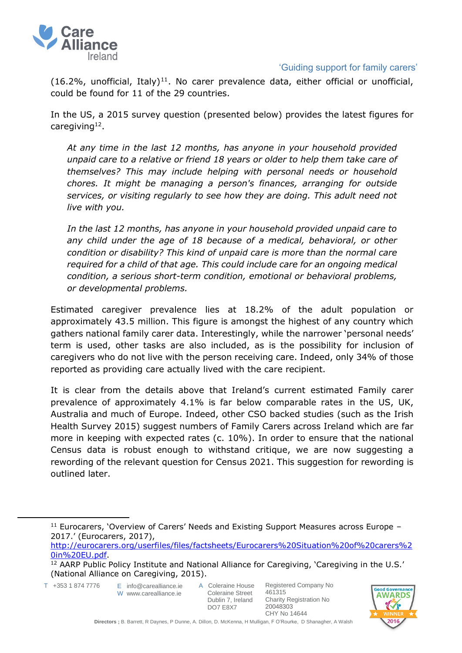

(16.2%, unofficial, Italy)<sup>11</sup>. No carer prevalence data, either official or unofficial, could be found for 11 of the 29 countries.

In the US, a 2015 survey question (presented below) provides the latest figures for caregiving<sup>12</sup>.

*At any time in the last 12 months, has anyone in your household provided unpaid care to a relative or friend 18 years or older to help them take care of themselves? This may include helping with personal needs or household chores. It might be managing a person's finances, arranging for outside services, or visiting regularly to see how they are doing. This adult need not live with you.*

*In the last 12 months, has anyone in your household provided unpaid care to any child under the age of 18 because of a medical, behavioral, or other condition or disability? This kind of unpaid care is more than the normal care required for a child of that age. This could include care for an ongoing medical condition, a serious short-term condition, emotional or behavioral problems, or developmental problems.*

Estimated caregiver prevalence lies at 18.2% of the adult population or approximately 43.5 million. This figure is amongst the highest of any country which gathers national family carer data. Interestingly, while the narrower 'personal needs' term is used, other tasks are also included, as is the possibility for inclusion of caregivers who do not live with the person receiving care. Indeed, only 34% of those reported as providing care actually lived with the care recipient.

It is clear from the details above that Ireland's current estimated Family carer prevalence of approximately 4.1% is far below comparable rates in the US, UK, Australia and much of Europe. Indeed, other CSO backed studies (such as the Irish Health Survey 2015) suggest numbers of Family Carers across Ireland which are far more in keeping with expected rates (c. 10%). In order to ensure that the national Census data is robust enough to withstand critique, we are now suggesting a rewording of the relevant question for Census 2021. This suggestion for rewording is outlined later.

T +353 1 874 7776

 $\overline{a}$ 

E info@carealliance.ie W www.carealliance.ie

A Coleraine House Coleraine Street Dublin 7, Ireland DO7 E8X7



 $11$  Eurocarers, 'Overview of Carers' Needs and Existing Support Measures across Europe  $-$ 2017.' (Eurocarers, 2017),

[http://eurocarers.org/userfiles/files/factsheets/Eurocarers%20Situation%20of%20carers%2](http://eurocarers.org/userfiles/files/factsheets/Eurocarers%20Situation%20of%20carers%20in%20EU.pdf) [0in%20EU.pdf.](http://eurocarers.org/userfiles/files/factsheets/Eurocarers%20Situation%20of%20carers%20in%20EU.pdf)

<sup>&</sup>lt;sup>12</sup> AARP Public Policy Institute and National Alliance for Caregiving, 'Caregiving in the U.S.' (National Alliance on Caregiving, 2015).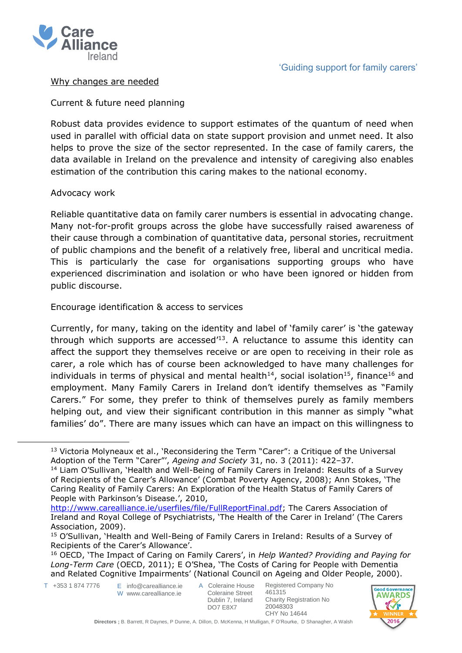

#### Why changes are needed

Current & future need planning

Robust data provides evidence to support estimates of the quantum of need when used in parallel with official data on state support provision and unmet need. It also helps to prove the size of the sector represented. In the case of family carers, the data available in Ireland on the prevalence and intensity of caregiving also enables estimation of the contribution this caring makes to the national economy.

## Advocacy work

Reliable quantitative data on family carer numbers is essential in advocating change. Many not-for-profit groups across the globe have successfully raised awareness of their cause through a combination of quantitative data, personal stories, recruitment of public champions and the benefit of a relatively free, liberal and uncritical media. This is particularly the case for organisations supporting groups who have experienced discrimination and isolation or who have been ignored or hidden from public discourse.

Encourage identification & access to services

Currently, for many, taking on the identity and label of 'family carer' is 'the gateway through which supports are accessed $113$ . A reluctance to assume this identity can affect the support they themselves receive or are open to receiving in their role as carer, a role which has of course been acknowledged to have many challenges for individuals in terms of physical and mental health<sup>14</sup>, social isolation<sup>15</sup>, finance<sup>16</sup> and employment. Many Family Carers in Ireland don't identify themselves as "Family Carers." For some, they prefer to think of themselves purely as family members helping out, and view their significant contribution in this manner as simply "what families' do". There are many issues which can have an impact on this willingness to

T +353 1 874 7776

 $\ddot{\phantom{a}}$ 

E info@carealliance.ie W www.carealliance.ie

A Coleraine House Coleraine Street Dublin 7, Ireland DO7 E8X7



<sup>&</sup>lt;sup>13</sup> Victoria Molyneaux et al., 'Reconsidering the Term "Carer": a Critique of the Universal Adoption of the Term "Carer"', *Ageing and Society* 31, no. 3 (2011): 422–37.

<sup>&</sup>lt;sup>14</sup> Liam O'Sullivan, 'Health and Well-Being of Family Carers in Ireland: Results of a Survey of Recipients of the Carer's Allowance' (Combat Poverty Agency, 2008); Ann Stokes, 'The Caring Reality of Family Carers: An Exploration of the Health Status of Family Carers of People with Parkinson's Disease.', 2010,

[http://www.carealliance.ie/userfiles/file/FullReportFinal.pdf;](http://www.carealliance.ie/userfiles/file/FullReportFinal.pdf) The Carers Association of Ireland and Royal College of Psychiatrists, 'The Health of the Carer in Ireland' (The Carers Association, 2009).

<sup>15</sup> O'Sullivan, 'Health and Well-Being of Family Carers in Ireland: Results of a Survey of Recipients of the Carer's Allowance'.

<sup>16</sup> OECD, 'The Impact of Caring on Family Carers', in *Help Wanted? Providing and Paying for Long-Term Care* (OECD, 2011); E O'Shea, 'The Costs of Caring for People with Dementia and Related Cognitive Impairments' (National Council on Ageing and Older People, 2000).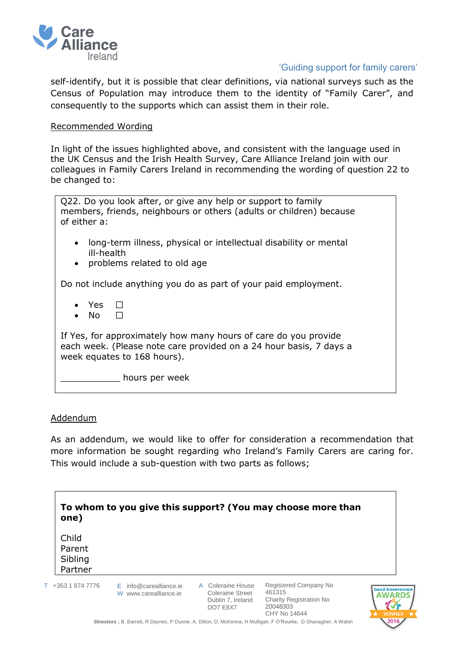

self-identify, but it is possible that clear definitions, via national surveys such as the Census of Population may introduce them to the identity of "Family Carer", and consequently to the supports which can assist them in their role.

#### Recommended Wording

In light of the issues highlighted above, and consistent with the language used in the UK Census and the Irish Health Survey, Care Alliance Ireland join with our colleagues in Family Carers Ireland in recommending the wording of question 22 to be changed to:

Q22. Do you look after, or give any help or support to family members, friends, neighbours or others (adults or children) because of either a:

- long-term illness, physical or intellectual disability or mental ill-health
- problems related to old age

Do not include anything you do as part of your paid employment.

- Yes  $\Box$
- No  $\Box$

If Yes, for approximately how many hours of care do you provide each week. (Please note care provided on a 24 hour basis, 7 days a week equates to 168 hours).

hours per week

#### Addendum

As an addendum, we would like to offer for consideration a recommendation that more information be sought regarding who Ireland's Family Carers are caring for. This would include a sub-question with two parts as follows;



DO7 E8X7

20048303 CHY No 14644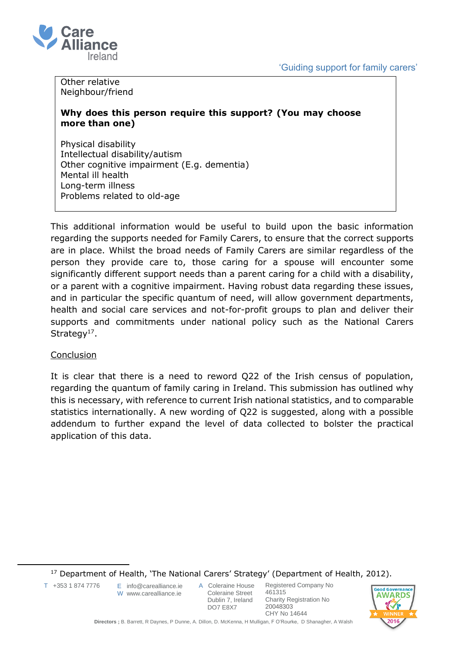

Other relative Neighbour/friend

## **Why does this person require this support? (You may choose more than one)**

Physical disability Intellectual disability/autism Other cognitive impairment (E.g. dementia) Mental ill health Long-term illness Problems related to old-age

This additional information would be useful to build upon the basic information regarding the supports needed for Family Carers, to ensure that the correct supports are in place. Whilst the broad needs of Family Carers are similar regardless of the person they provide care to, those caring for a spouse will encounter some significantly different support needs than a parent caring for a child with a disability, or a parent with a cognitive impairment. Having robust data regarding these issues, and in particular the specific quantum of need, will allow government departments, health and social care services and not-for-profit groups to plan and deliver their supports and commitments under national policy such as the National Carers Strategy<sup>17</sup>.

#### Conclusion

It is clear that there is a need to reword Q22 of the Irish census of population, regarding the quantum of family caring in Ireland. This submission has outlined why this is necessary, with reference to current Irish national statistics, and to comparable statistics internationally. A new wording of Q22 is suggested, along with a possible addendum to further expand the level of data collected to bolster the practical application of this data.

<sup>17</sup> Department of Health, 'The National Carers' Strategy' (Department of Health, 2012).

T +353 1 874 7776

 $\overline{a}$ 

E info@carealliance.ie W www.carealliance.ie

A Coleraine House Coleraine Street Dublin 7, Ireland DO7 E8X7